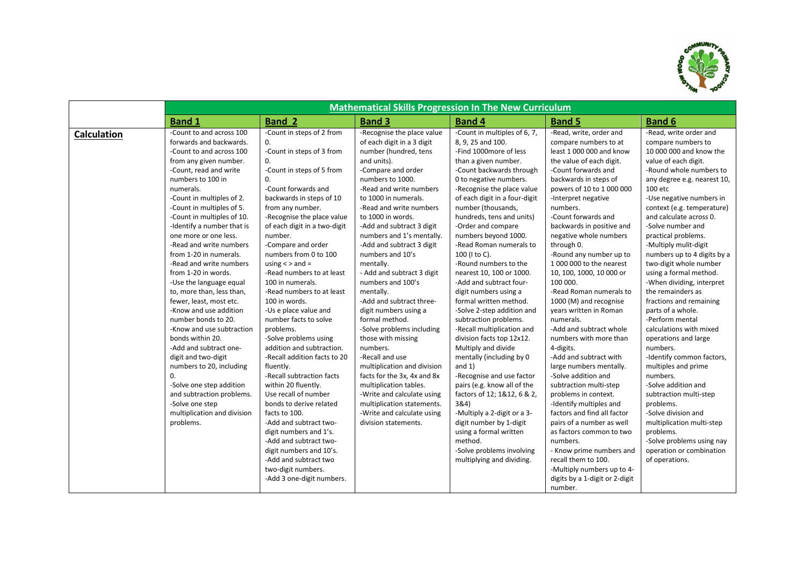

|                    | <b>Mathematical Skills Progression In The New Curriculum</b> |                              |                             |                               |                                |                             |  |
|--------------------|--------------------------------------------------------------|------------------------------|-----------------------------|-------------------------------|--------------------------------|-----------------------------|--|
|                    | <b>Band 1</b>                                                | <b>Band 2</b>                | <b>Band 3</b>               | <b>Band 4</b>                 | <b>Band 5</b>                  | <b>Band 6</b>               |  |
| <b>Calculation</b> | -Count to and across 100                                     | -Count in steps of 2 from    | -Recognise the place value  | -Count in multiples of 6, 7,  | -Read, write, order and        | -Read, write order and      |  |
|                    | forwards and backwards.                                      | 0.                           | of each digit in a 3 digit  | 8, 9, 25 and 100.             | compare numbers to at          | compare numbers to          |  |
|                    | -Count to and across 100                                     | -Count in steps of 3 from    | number (hundred, tens       | -Find 1000more of less        | least 1 000 000 and know       | 10 000 000 and know the     |  |
|                    | from any given number.                                       | 0.                           | and units).                 | than a given number.          | the value of each digit.       | value of each digit.        |  |
|                    | -Count, read and write                                       | -Count in steps of 5 from    | -Compare and order          | -Count backwards through      | -Count forwards and            | -Round whole numbers to     |  |
|                    | numbers to 100 in                                            | 0.                           | numbers to 1000.            | 0 to negative numbers.        | backwards in steps of          | any degree e.g. nearest 10, |  |
|                    | numerals.                                                    | -Count forwards and          | -Read and write numbers     | -Recognise the place value    | powers of 10 to 1 000 000      | 100 etc                     |  |
|                    | -Count in multiples of 2.                                    | backwards in steps of 10     | to 1000 in numerals.        | of each digit in a four-digit | -Interpret negative            | -Use negative numbers in    |  |
|                    | -Count in multiples of 5.                                    | from any number.             | -Read and write numbers     | number (thousands,            | numbers.                       | context (e.g. temperature)  |  |
|                    | -Count in multiples of 10.                                   | -Recognise the place value   | to 1000 in words.           | hundreds, tens and units)     | -Count forwards and            | and calculate across 0.     |  |
|                    | -Identify a number that is                                   | of each digit in a two-digit | -Add and subtract 3 digit   | -Order and compare            | backwards in positive and      | -Solve number and           |  |
|                    | one more or one less.                                        | number.                      | numbers and 1's mentally.   | numbers beyond 1000.          | negative whole numbers         | practical problems.         |  |
|                    | -Read and write numbers                                      | -Compare and order           | -Add and subtract 3 digit   | -Read Roman numerals to       | through 0.                     | -Multiply mulit-digit       |  |
|                    | from 1-20 in numerals.                                       | numbers from 0 to 100        | numbers and 10's            | 100 (I to C).                 | -Round any number up to        | numbers up to 4 digits by a |  |
|                    | -Read and write numbers                                      | using $\lt$ > and =          | mentally.                   | -Round numbers to the         | 1 000 000 to the nearest       | two-digit whole number      |  |
|                    | from 1-20 in words.                                          | -Read numbers to at least    | - Add and subtract 3 digit  | nearest 10, 100 or 1000.      | 10, 100, 1000, 10 000 or       | using a formal method.      |  |
|                    | -Use the language equal                                      | 100 in numerals.             | numbers and 100's           | -Add and subtract four-       | 100 000.                       | -When dividing, interpret   |  |
|                    | to, more than, less than,                                    | -Read numbers to at least    | mentally.                   | digit numbers using a         | -Read Roman numerals to        | the remainders as           |  |
|                    | fewer, least, most etc.                                      | 100 in words.                | -Add and subtract three-    | formal written method.        | 1000 (M) and recognise         | fractions and remaining     |  |
|                    | -Know and use addition                                       | -Us e place value and        | digit numbers using a       | -Solve 2-step addition and    | years written in Roman         | parts of a whole.           |  |
|                    | number bonds to 20.                                          | number facts to solve        | formal method.              | subtraction problems.         | numerals.                      | -Perform mental             |  |
|                    | -Know and use subtraction                                    | problems.                    | -Solve problems including   | -Recall multiplication and    | -Add and subtract whole        | calculations with mixed     |  |
|                    | bonds within 20.                                             | -Solve problems using        | those with missing          | division facts top 12x12.     | numbers with more than         | operations and large        |  |
|                    | -Add and subtract one-                                       | addition and subtraction.    | numbers.                    | Multiply and divide           | 4-digits.                      | numbers.                    |  |
|                    | digit and two-digit                                          | -Recall addition facts to 20 | -Recall and use             | mentally (including by 0      | -Add and subtract with         | -Identify common factors,   |  |
|                    | numbers to 20, including                                     | fluently.                    | multiplication and division | and $1)$                      | large numbers mentally.        | multiples and prime         |  |
|                    | 0.                                                           | -Recall subtraction facts    | facts for the 3x, 4x and 8x | -Recognise and use factor     | -Solve addition and            | numbers.                    |  |
|                    | -Solve one step addition                                     | within 20 fluently.          | multiplication tables.      | pairs (e.g. know all of the   | subtraction multi-step         | -Solve addition and         |  |
|                    | and subtraction problems.                                    | Use recall of number         | -Write and calculate using  | factors of 12; 1&12, 6 & 2,   | problems in context.           | subtraction multi-step      |  |
|                    | -Solve one step                                              | bonds to derive related      | multiplication statements.  | 3&4)                          | -Identify multiples and        | problems.                   |  |
|                    | multiplication and division                                  | facts to 100.                | -Write and calculate using  | -Multiply a 2-digit or a 3-   | factors and find all factor    | -Solve division and         |  |
|                    | problems.                                                    | -Add and subtract two-       | division statements.        | digit number by 1-digit       | pairs of a number as well      | multiplication multi-step   |  |
|                    |                                                              | digit numbers and 1's.       |                             | using a formal written        | as factors common to two       | problems.                   |  |
|                    |                                                              | -Add and subtract two-       |                             | method.                       | numbers.                       | -Solve problems using nay   |  |
|                    |                                                              | digit numbers and 10's.      |                             | -Solve problems involving     | - Know prime numbers and       | operation or combination    |  |
|                    |                                                              | -Add and subtract two        |                             | multiplying and dividing.     | recall them to 100.            | of operations.              |  |
|                    |                                                              | two-digit numbers.           |                             |                               | -Multiply numbers up to 4-     |                             |  |
|                    |                                                              | -Add 3 one-digit numbers.    |                             |                               | digits by a 1-digit or 2-digit |                             |  |
|                    |                                                              |                              |                             |                               | number.                        |                             |  |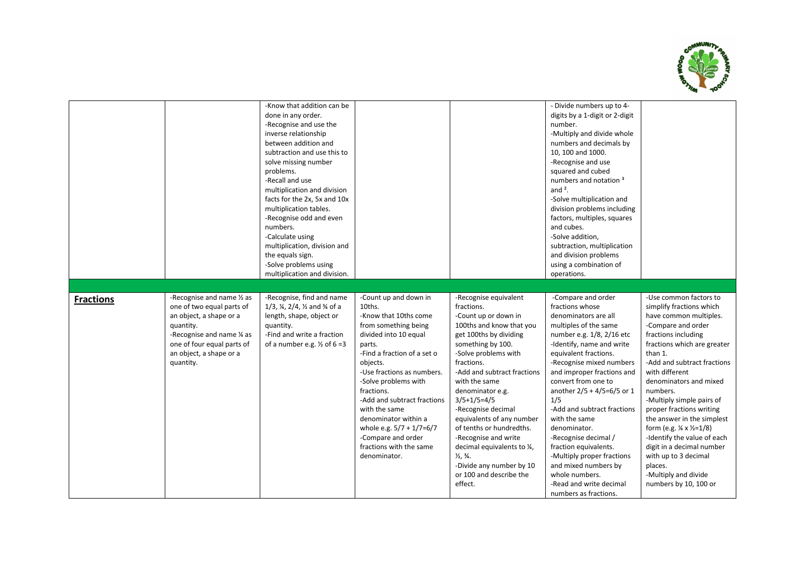

|                  |                                                                                                                                                                                                     | -Know that addition can be<br>done in any order.<br>-Recognise and use the<br>inverse relationship<br>between addition and<br>subtraction and use this to<br>solve missing number<br>problems.<br>-Recall and use<br>multiplication and division<br>facts for the 2x, 5x and 10x<br>multiplication tables.<br>-Recognise odd and even<br>numbers.<br>-Calculate using<br>multiplication, division and<br>the equals sign.<br>-Solve problems using<br>multiplication and division. |                                                                                                                                                                                                                                                                                                                                                                                                         |                                                                                                                                                                                                                                                                                                                                                                                                                                                                                                              | - Divide numbers up to 4-<br>digits by a 1-digit or 2-digit<br>number.<br>-Multiply and divide whole<br>numbers and decimals by<br>10, 100 and 1000.<br>-Recognise and use<br>squared and cubed<br>numbers and notation <sup>3</sup><br>and $2$ .<br>-Solve multiplication and<br>division problems including<br>factors, multiples, squares<br>and cubes.<br>-Solve addition,<br>subtraction, multiplication<br>and division problems<br>using a combination of<br>operations.                                                              |                                                                                                                                                                                                                                                                                                                                                                                                                                                                                                                                                          |
|------------------|-----------------------------------------------------------------------------------------------------------------------------------------------------------------------------------------------------|------------------------------------------------------------------------------------------------------------------------------------------------------------------------------------------------------------------------------------------------------------------------------------------------------------------------------------------------------------------------------------------------------------------------------------------------------------------------------------|---------------------------------------------------------------------------------------------------------------------------------------------------------------------------------------------------------------------------------------------------------------------------------------------------------------------------------------------------------------------------------------------------------|--------------------------------------------------------------------------------------------------------------------------------------------------------------------------------------------------------------------------------------------------------------------------------------------------------------------------------------------------------------------------------------------------------------------------------------------------------------------------------------------------------------|----------------------------------------------------------------------------------------------------------------------------------------------------------------------------------------------------------------------------------------------------------------------------------------------------------------------------------------------------------------------------------------------------------------------------------------------------------------------------------------------------------------------------------------------|----------------------------------------------------------------------------------------------------------------------------------------------------------------------------------------------------------------------------------------------------------------------------------------------------------------------------------------------------------------------------------------------------------------------------------------------------------------------------------------------------------------------------------------------------------|
|                  |                                                                                                                                                                                                     |                                                                                                                                                                                                                                                                                                                                                                                                                                                                                    |                                                                                                                                                                                                                                                                                                                                                                                                         |                                                                                                                                                                                                                                                                                                                                                                                                                                                                                                              |                                                                                                                                                                                                                                                                                                                                                                                                                                                                                                                                              |                                                                                                                                                                                                                                                                                                                                                                                                                                                                                                                                                          |
| <b>Fractions</b> | -Recognise and name 1/2 as<br>one of two equal parts of<br>an object, a shape or a<br>quantity.<br>-Recognise and name 1/4 as<br>one of four equal parts of<br>an object, a shape or a<br>quantity. | -Recognise, find and name<br>$1/3$ , $\frac{1}{4}$ , $2/4$ , $\frac{1}{2}$ and $\frac{3}{4}$ of a<br>length, shape, object or<br>quantity.<br>-Find and write a fraction<br>of a number e.g. $\frac{1}{2}$ of 6 = 3                                                                                                                                                                                                                                                                | -Count up and down in<br>10ths.<br>-Know that 10ths come<br>from something being<br>divided into 10 equal<br>parts.<br>-Find a fraction of a set o<br>objects.<br>-Use fractions as numbers.<br>-Solve problems with<br>fractions.<br>-Add and subtract fractions<br>with the same<br>denominator within a<br>whole e.g. 5/7 + 1/7=6/7<br>-Compare and order<br>fractions with the same<br>denominator. | -Recognise equivalent<br>fractions.<br>-Count up or down in<br>100ths and know that you<br>get 100ths by dividing<br>something by 100.<br>-Solve problems with<br>fractions.<br>-Add and subtract fractions<br>with the same<br>denominator e.g.<br>$3/5+1/5=4/5$<br>-Recognise decimal<br>equivalents of any number<br>of tenths or hundredths.<br>-Recognise and write<br>decimal equivalents to 1/4,<br>$\frac{1}{2}$ , $\frac{3}{4}$ .<br>-Divide any number by 10<br>or 100 and describe the<br>effect. | -Compare and order<br>fractions whose<br>denominators are all<br>multiples of the same<br>number e.g. 1/8, 2/16 etc<br>-Identify, name and write<br>equivalent fractions.<br>-Recognise mixed numbers<br>and improper fractions and<br>convert from one to<br>another 2/5 + 4/5=6/5 or 1<br>1/5<br>-Add and subtract fractions<br>with the same<br>denominator.<br>-Recognise decimal /<br>fraction equivalents.<br>-Multiply proper fractions<br>and mixed numbers by<br>whole numbers.<br>-Read and write decimal<br>numbers as fractions. | -Use common factors to<br>simplify fractions which<br>have common multiples.<br>-Compare and order<br>fractions including<br>fractions which are greater<br>than 1.<br>-Add and subtract fractions<br>with different<br>denominators and mixed<br>numbers.<br>-Multiply simple pairs of<br>proper fractions writing<br>the answer in the simplest<br>form (e.g. $\frac{1}{4} \times \frac{1}{2} = 1/8$ )<br>-Identify the value of each<br>digit in a decimal number<br>with up to 3 decimal<br>places.<br>-Multiply and divide<br>numbers by 10, 100 or |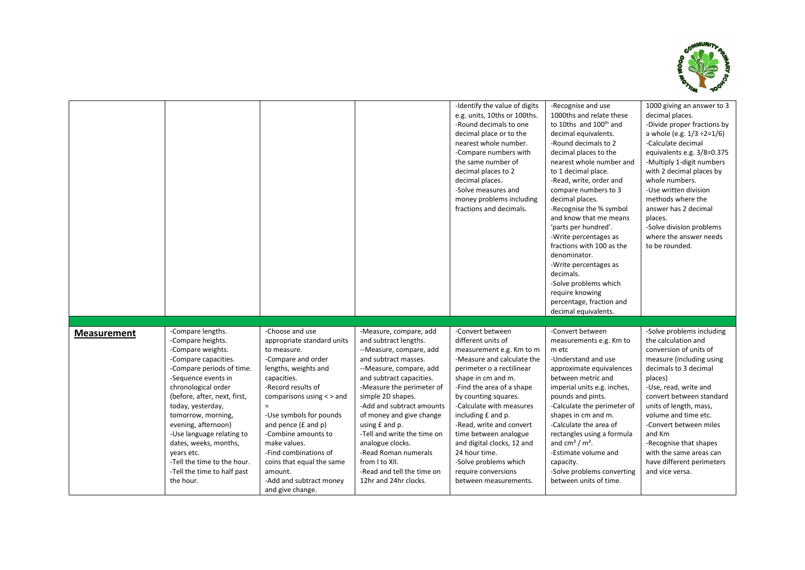

|                    |                                                                                                                                                                                                                                                                                                                                                                                                                 |                                                                                                                                                                                                                                                                                                                                                                                                       |                                                                                                                                                                                                                                                                                                                                                                                                                                            | -Identify the value of digits<br>e.g. units, 10ths or 100ths.<br>-Round decimals to one<br>decimal place or to the<br>nearest whole number.<br>-Compare numbers with<br>the same number of<br>decimal places to 2<br>decimal places.<br>-Solve measures and<br>money problems including<br>fractions and decimals.                                                                                                                      | -Recognise and use<br>1000ths and relate these<br>to 10ths and 100 <sup>th</sup> and<br>decimal equivalents.<br>-Round decimals to 2<br>decimal places to the<br>nearest whole number and<br>to 1 decimal place.<br>-Read, write, order and<br>compare numbers to 3<br>decimal places.<br>-Recognise the % symbol<br>and know that me means<br>'parts per hundred'.<br>-Write percentages as<br>fractions with 100 as the<br>denominator.<br>-Write percentages as<br>decimals.<br>-Solve problems which<br>require knowing<br>percentage, fraction and<br>decimal equivalents. | 1000 giving an answer to 3<br>decimal places.<br>-Divide proper fractions by<br>a whole (e.g. $1/3 \div 2 = 1/6$ )<br>-Calculate decimal<br>equivalents e.g. 3/8=0.375<br>-Multiply 1-digit numbers<br>with 2 decimal places by<br>whole numbers.<br>-Use written division<br>methods where the<br>answer has 2 decimal<br>places.<br>-Solve division problems<br>where the answer needs<br>to be rounded. |
|--------------------|-----------------------------------------------------------------------------------------------------------------------------------------------------------------------------------------------------------------------------------------------------------------------------------------------------------------------------------------------------------------------------------------------------------------|-------------------------------------------------------------------------------------------------------------------------------------------------------------------------------------------------------------------------------------------------------------------------------------------------------------------------------------------------------------------------------------------------------|--------------------------------------------------------------------------------------------------------------------------------------------------------------------------------------------------------------------------------------------------------------------------------------------------------------------------------------------------------------------------------------------------------------------------------------------|-----------------------------------------------------------------------------------------------------------------------------------------------------------------------------------------------------------------------------------------------------------------------------------------------------------------------------------------------------------------------------------------------------------------------------------------|---------------------------------------------------------------------------------------------------------------------------------------------------------------------------------------------------------------------------------------------------------------------------------------------------------------------------------------------------------------------------------------------------------------------------------------------------------------------------------------------------------------------------------------------------------------------------------|------------------------------------------------------------------------------------------------------------------------------------------------------------------------------------------------------------------------------------------------------------------------------------------------------------------------------------------------------------------------------------------------------------|
| <b>Measurement</b> | -Compare lengths.<br>-Compare heights.<br>-Compare weights.<br>-Compare capacities.<br>-Compare periods of time.<br>-Sequence events in<br>chronological order<br>(before, after, next, first,<br>today, yesterday,<br>tomorrow, morning,<br>evening, afternoon)<br>-Use language relating to<br>dates, weeks, months,<br>years etc.<br>-Tell the time to the hour.<br>-Tell the time to half past<br>the hour. | -Choose and use<br>appropriate standard units<br>to measure.<br>-Compare and order<br>lengths, weights and<br>capacities.<br>-Record results of<br>comparisons using < > and<br>$\equiv$<br>-Use symbols for pounds<br>and pence $(f$ and $p)$<br>-Combine amounts to<br>make values.<br>-Find combinations of<br>coins that equal the same<br>amount.<br>-Add and subtract money<br>and give change. | -Measure, compare, add<br>and subtract lengths.<br>--Measure, compare, add<br>and subtract masses.<br>--Measure, compare, add<br>and subtract capacities.<br>-Measure the perimeter of<br>simple 2D shapes.<br>-Add and subtract amounts<br>of money and give change<br>using £ and p.<br>-Tell and write the time on<br>analogue clocks.<br>-Read Roman numerals<br>from I to XII.<br>-Read and tell the time on<br>12hr and 24hr clocks. | -Convert between<br>different units of<br>measurement e.g. Km to m<br>-Measure and calculate the<br>perimeter o a rectilinear<br>shape in cm and m.<br>-Find the area of a shape<br>by counting squares.<br>-Calculate with measures<br>including £ and p.<br>-Read, write and convert<br>time between analogue<br>and digital clocks, 12 and<br>24 hour time.<br>-Solve problems which<br>require conversions<br>between measurements. | -Convert between<br>measurements e.g. Km to<br>m etc<br>-Understand and use<br>approximate equivalences<br>between metric and<br>imperial units e.g. inches,<br>pounds and pints.<br>-Calculate the perimeter of<br>shapes in cm and m.<br>-Calculate the area of<br>rectangles using a formula<br>and $\text{cm}^2/\text{m}^2$ .<br>-Estimate volume and<br>capacity.<br>-Solve problems converting<br>between units of time.                                                                                                                                                  | -Solve problems including<br>the calculation and<br>conversion of units of<br>measure (including using<br>decimals to 3 decimal<br>places)<br>-Use, read, write and<br>convert between standard<br>units of length, mass,<br>volume and time etc.<br>-Convert between miles<br>and Km<br>-Recognise that shapes<br>with the same areas can<br>have different perimeters<br>and vice versa.                 |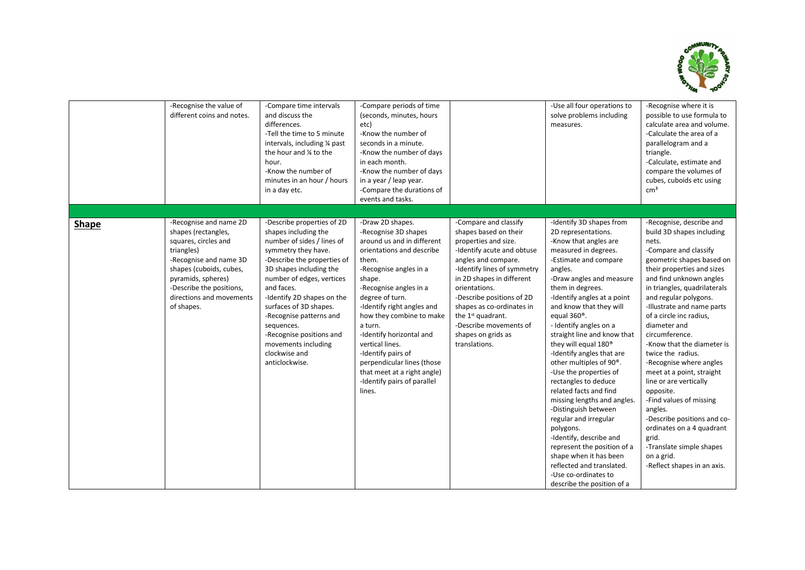

|              | -Recognise the value of<br>different coins and notes.                                                                                                                                                                                | -Compare time intervals<br>and discuss the<br>differences.<br>-Tell the time to 5 minute<br>intervals, including 1/4 past<br>the hour and % to the<br>hour.<br>-Know the number of<br>minutes in an hour / hours<br>in a day etc.                                                                                                                                                                   | -Compare periods of time<br>(seconds, minutes, hours<br>etc)<br>-Know the number of<br>seconds in a minute.<br>-Know the number of days<br>in each month.<br>-Know the number of days<br>in a year / leap year.<br>-Compare the durations of<br>events and tasks.                                                                                                                                                                             |                                                                                                                                                                                                                                                                                                                                                                      | -Use all four operations to<br>solve problems including<br>measures.                                                                                                                                                                                                                                                                                                                                                                                                                                                                                                                                                                                                                                                                                                                         | -Recognise where it is<br>possible to use formula to<br>calculate area and volume.<br>-Calculate the area of a<br>parallelogram and a<br>triangle.<br>-Calculate, estimate and<br>compare the volumes of<br>cubes, cuboids etc using<br>cm <sup>3</sup>                                                                                                                                                                                                                                                                                                                                                                                                                 |
|--------------|--------------------------------------------------------------------------------------------------------------------------------------------------------------------------------------------------------------------------------------|-----------------------------------------------------------------------------------------------------------------------------------------------------------------------------------------------------------------------------------------------------------------------------------------------------------------------------------------------------------------------------------------------------|-----------------------------------------------------------------------------------------------------------------------------------------------------------------------------------------------------------------------------------------------------------------------------------------------------------------------------------------------------------------------------------------------------------------------------------------------|----------------------------------------------------------------------------------------------------------------------------------------------------------------------------------------------------------------------------------------------------------------------------------------------------------------------------------------------------------------------|----------------------------------------------------------------------------------------------------------------------------------------------------------------------------------------------------------------------------------------------------------------------------------------------------------------------------------------------------------------------------------------------------------------------------------------------------------------------------------------------------------------------------------------------------------------------------------------------------------------------------------------------------------------------------------------------------------------------------------------------------------------------------------------------|-------------------------------------------------------------------------------------------------------------------------------------------------------------------------------------------------------------------------------------------------------------------------------------------------------------------------------------------------------------------------------------------------------------------------------------------------------------------------------------------------------------------------------------------------------------------------------------------------------------------------------------------------------------------------|
| <b>Shape</b> | -Recognise and name 2D<br>shapes (rectangles,<br>squares, circles and<br>triangles)<br>-Recognise and name 3D<br>shapes (cuboids, cubes,<br>pyramids, spheres)<br>-Describe the positions,<br>directions and movements<br>of shapes. | -Describe properties of 2D<br>shapes including the<br>number of sides / lines of<br>symmetry they have.<br>-Describe the properties of<br>3D shapes including the<br>number of edges, vertices<br>and faces.<br>-Identify 2D shapes on the<br>surfaces of 3D shapes.<br>-Recognise patterns and<br>sequences.<br>-Recognise positions and<br>movements including<br>clockwise and<br>anticlockwise. | -Draw 2D shapes.<br>-Recognise 3D shapes<br>around us and in different<br>orientations and describe<br>them.<br>-Recognise angles in a<br>shape.<br>-Recognise angles in a<br>degree of turn.<br>-Identify right angles and<br>how they combine to make<br>a turn.<br>-Identify horizontal and<br>vertical lines.<br>-Identify pairs of<br>perpendicular lines (those<br>that meet at a right angle)<br>-Identify pairs of parallel<br>lines. | -Compare and classify<br>shapes based on their<br>properties and size.<br>-Identify acute and obtuse<br>angles and compare.<br>-Identify lines of symmetry<br>in 2D shapes in different<br>orientations.<br>-Describe positions of 2D<br>shapes as co-ordinates in<br>the 1 <sup>st</sup> quadrant.<br>-Describe movements of<br>shapes on grids as<br>translations. | -Identify 3D shapes from<br>2D representations.<br>-Know that angles are<br>measured in degrees.<br>-Estimate and compare<br>angles.<br>-Draw angles and measure<br>them in degrees.<br>-Identify angles at a point<br>and know that they will<br>equal 360 <sup>®</sup> .<br>- Identify angles on a<br>straight line and know that<br>they will equal 180 <sup>®</sup><br>-Identify angles that are<br>other multiples of 90 <sup>®</sup> .<br>-Use the properties of<br>rectangles to deduce<br>related facts and find<br>missing lengths and angles.<br>-Distinguish between<br>regular and irregular<br>polygons.<br>-Identify, describe and<br>represent the position of a<br>shape when it has been<br>reflected and translated.<br>-Use co-ordinates to<br>describe the position of a | -Recognise, describe and<br>build 3D shapes including<br>nets.<br>-Compare and classify<br>geometric shapes based on<br>their properties and sizes<br>and find unknown angles<br>in triangles, quadrilaterals<br>and regular polygons.<br>-Illustrate and name parts<br>of a circle inc radius,<br>diameter and<br>circumference.<br>-Know that the diameter is<br>twice the radius.<br>-Recognise where angles<br>meet at a point, straight<br>line or are vertically<br>opposite.<br>-Find values of missing<br>angles.<br>-Describe positions and co-<br>ordinates on a 4 quadrant<br>grid.<br>-Translate simple shapes<br>on a grid.<br>-Reflect shapes in an axis. |